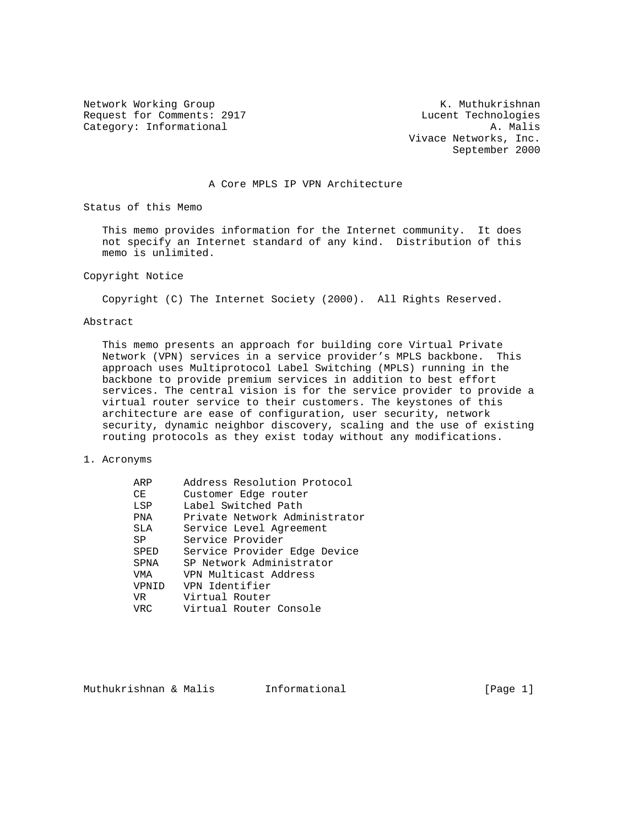Request for Comments: 2917 Lucent Technologies Category: Informational and A. Malis

Network Working Group Network Working Group Network Working Group Vivace Networks, Inc. September 2000

### A Core MPLS IP VPN Architecture

Status of this Memo

 This memo provides information for the Internet community. It does not specify an Internet standard of any kind. Distribution of this memo is unlimited.

### Copyright Notice

Copyright (C) The Internet Society (2000). All Rights Reserved.

### Abstract

 This memo presents an approach for building core Virtual Private Network (VPN) services in a service provider's MPLS backbone. This approach uses Multiprotocol Label Switching (MPLS) running in the backbone to provide premium services in addition to best effort services. The central vision is for the service provider to provide a virtual router service to their customers. The keystones of this architecture are ease of configuration, user security, network security, dynamic neighbor discovery, scaling and the use of existing routing protocols as they exist today without any modifications.

### 1. Acronyms

| ARP   | Address Resolution Protocol   |
|-------|-------------------------------|
| CE    | Customer Edge router          |
| LSP   | Label Switched Path           |
| PNA   | Private Network Administrator |
| SLA   | Service Level Agreement       |
| SP    | Service Provider              |
| SPED  | Service Provider Edge Device  |
| SPNA  | SP Network Administrator      |
| VMA   | VPN Multicast Address         |
| VPNID | VPN Identifier                |
| VR    | Virtual Router                |
| VRC   | Virtual Router Console        |

Muthukrishnan & Malis informational informational [Page 1]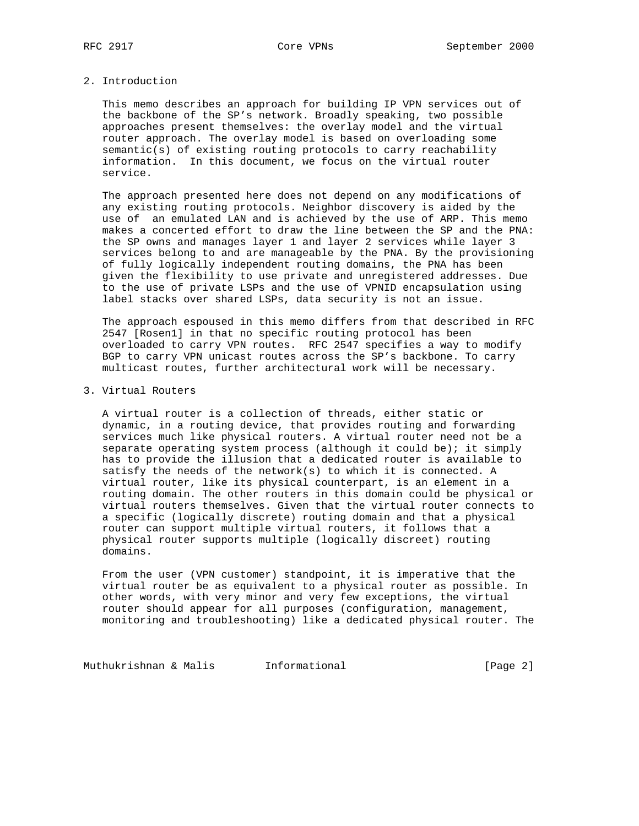# 2. Introduction

 This memo describes an approach for building IP VPN services out of the backbone of the SP's network. Broadly speaking, two possible approaches present themselves: the overlay model and the virtual router approach. The overlay model is based on overloading some semantic(s) of existing routing protocols to carry reachability information. In this document, we focus on the virtual router service.

 The approach presented here does not depend on any modifications of any existing routing protocols. Neighbor discovery is aided by the use of an emulated LAN and is achieved by the use of ARP. This memo makes a concerted effort to draw the line between the SP and the PNA: the SP owns and manages layer 1 and layer 2 services while layer 3 services belong to and are manageable by the PNA. By the provisioning of fully logically independent routing domains, the PNA has been given the flexibility to use private and unregistered addresses. Due to the use of private LSPs and the use of VPNID encapsulation using label stacks over shared LSPs, data security is not an issue.

 The approach espoused in this memo differs from that described in RFC 2547 [Rosen1] in that no specific routing protocol has been overloaded to carry VPN routes. RFC 2547 specifies a way to modify BGP to carry VPN unicast routes across the SP's backbone. To carry multicast routes, further architectural work will be necessary.

# 3. Virtual Routers

 A virtual router is a collection of threads, either static or dynamic, in a routing device, that provides routing and forwarding services much like physical routers. A virtual router need not be a separate operating system process (although it could be); it simply has to provide the illusion that a dedicated router is available to satisfy the needs of the network(s) to which it is connected. A virtual router, like its physical counterpart, is an element in a routing domain. The other routers in this domain could be physical or virtual routers themselves. Given that the virtual router connects to a specific (logically discrete) routing domain and that a physical router can support multiple virtual routers, it follows that a physical router supports multiple (logically discreet) routing domains.

 From the user (VPN customer) standpoint, it is imperative that the virtual router be as equivalent to a physical router as possible. In other words, with very minor and very few exceptions, the virtual router should appear for all purposes (configuration, management, monitoring and troubleshooting) like a dedicated physical router. The

Muthukrishnan & Malis **Informational Informational** [Page 2]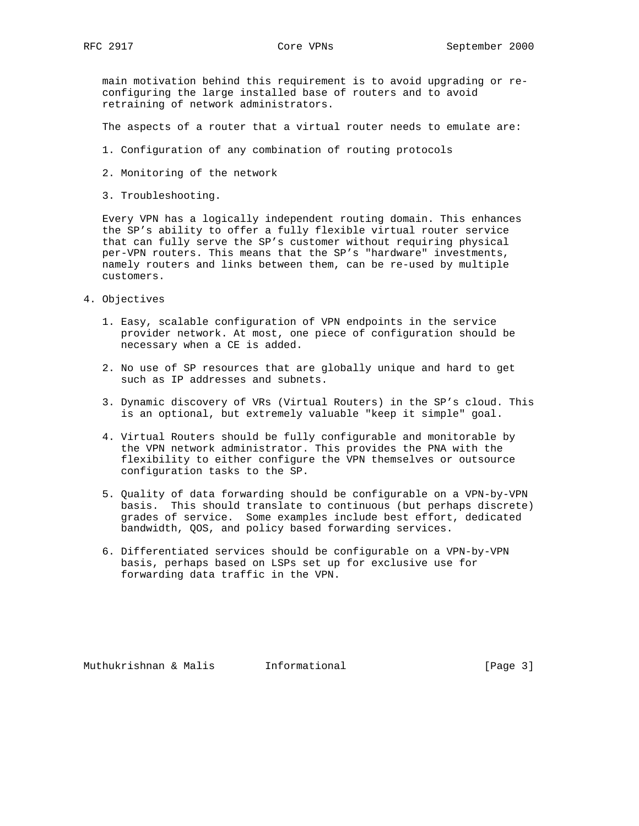main motivation behind this requirement is to avoid upgrading or re configuring the large installed base of routers and to avoid retraining of network administrators.

The aspects of a router that a virtual router needs to emulate are:

- 1. Configuration of any combination of routing protocols
- 2. Monitoring of the network
- 3. Troubleshooting.

 Every VPN has a logically independent routing domain. This enhances the SP's ability to offer a fully flexible virtual router service that can fully serve the SP's customer without requiring physical per-VPN routers. This means that the SP's "hardware" investments, namely routers and links between them, can be re-used by multiple customers.

- 4. Objectives
	- 1. Easy, scalable configuration of VPN endpoints in the service provider network. At most, one piece of configuration should be necessary when a CE is added.
	- 2. No use of SP resources that are globally unique and hard to get such as IP addresses and subnets.
	- 3. Dynamic discovery of VRs (Virtual Routers) in the SP's cloud. This is an optional, but extremely valuable "keep it simple" goal.
	- 4. Virtual Routers should be fully configurable and monitorable by the VPN network administrator. This provides the PNA with the flexibility to either configure the VPN themselves or outsource configuration tasks to the SP.
	- 5. Quality of data forwarding should be configurable on a VPN-by-VPN basis. This should translate to continuous (but perhaps discrete) grades of service. Some examples include best effort, dedicated bandwidth, QOS, and policy based forwarding services.
	- 6. Differentiated services should be configurable on a VPN-by-VPN basis, perhaps based on LSPs set up for exclusive use for forwarding data traffic in the VPN.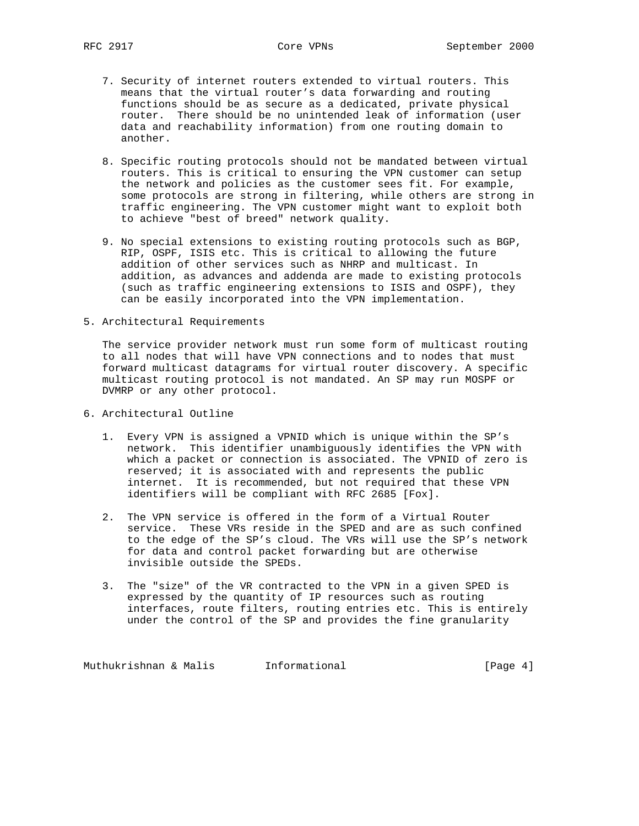- 7. Security of internet routers extended to virtual routers. This means that the virtual router's data forwarding and routing functions should be as secure as a dedicated, private physical router. There should be no unintended leak of information (user data and reachability information) from one routing domain to another.
- 8. Specific routing protocols should not be mandated between virtual routers. This is critical to ensuring the VPN customer can setup the network and policies as the customer sees fit. For example, some protocols are strong in filtering, while others are strong in traffic engineering. The VPN customer might want to exploit both to achieve "best of breed" network quality.
- 9. No special extensions to existing routing protocols such as BGP, RIP, OSPF, ISIS etc. This is critical to allowing the future addition of other services such as NHRP and multicast. In addition, as advances and addenda are made to existing protocols (such as traffic engineering extensions to ISIS and OSPF), they can be easily incorporated into the VPN implementation.
- 5. Architectural Requirements

 The service provider network must run some form of multicast routing to all nodes that will have VPN connections and to nodes that must forward multicast datagrams for virtual router discovery. A specific multicast routing protocol is not mandated. An SP may run MOSPF or DVMRP or any other protocol.

- 6. Architectural Outline
	- 1. Every VPN is assigned a VPNID which is unique within the SP's network. This identifier unambiguously identifies the VPN with which a packet or connection is associated. The VPNID of zero is reserved; it is associated with and represents the public internet. It is recommended, but not required that these VPN identifiers will be compliant with RFC 2685 [Fox].
	- 2. The VPN service is offered in the form of a Virtual Router service. These VRs reside in the SPED and are as such confined to the edge of the SP's cloud. The VRs will use the SP's network for data and control packet forwarding but are otherwise invisible outside the SPEDs.
	- 3. The "size" of the VR contracted to the VPN in a given SPED is expressed by the quantity of IP resources such as routing interfaces, route filters, routing entries etc. This is entirely under the control of the SP and provides the fine granularity

Muthukrishnan & Malis **Informational Informational** [Page 4]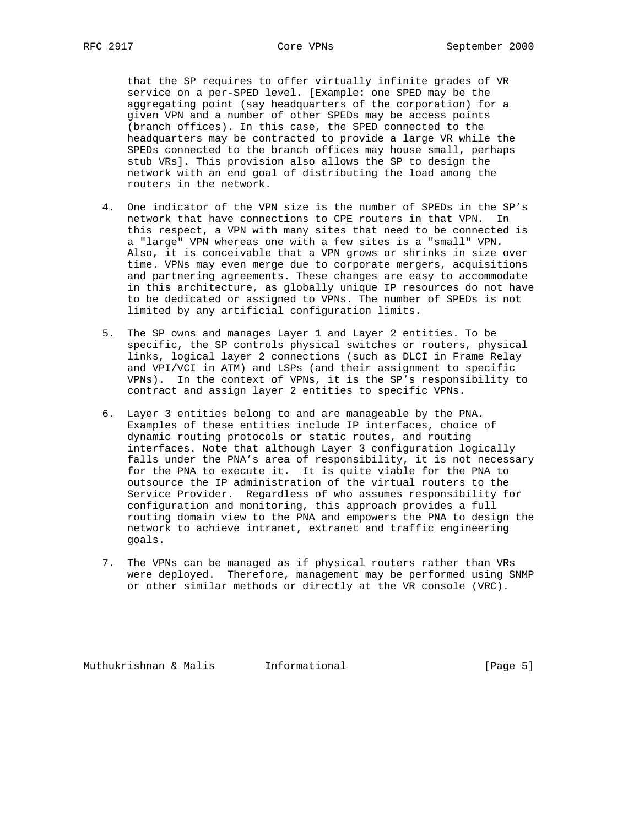that the SP requires to offer virtually infinite grades of VR service on a per-SPED level. [Example: one SPED may be the aggregating point (say headquarters of the corporation) for a given VPN and a number of other SPEDs may be access points (branch offices). In this case, the SPED connected to the headquarters may be contracted to provide a large VR while the SPEDs connected to the branch offices may house small, perhaps stub VRs]. This provision also allows the SP to design the network with an end goal of distributing the load among the routers in the network.

- 4. One indicator of the VPN size is the number of SPEDs in the SP's network that have connections to CPE routers in that VPN. In this respect, a VPN with many sites that need to be connected is a "large" VPN whereas one with a few sites is a "small" VPN. Also, it is conceivable that a VPN grows or shrinks in size over time. VPNs may even merge due to corporate mergers, acquisitions and partnering agreements. These changes are easy to accommodate in this architecture, as globally unique IP resources do not have to be dedicated or assigned to VPNs. The number of SPEDs is not limited by any artificial configuration limits.
- 5. The SP owns and manages Layer 1 and Layer 2 entities. To be specific, the SP controls physical switches or routers, physical links, logical layer 2 connections (such as DLCI in Frame Relay and VPI/VCI in ATM) and LSPs (and their assignment to specific VPNs). In the context of VPNs, it is the SP's responsibility to contract and assign layer 2 entities to specific VPNs.
- 6. Layer 3 entities belong to and are manageable by the PNA. Examples of these entities include IP interfaces, choice of dynamic routing protocols or static routes, and routing interfaces. Note that although Layer 3 configuration logically falls under the PNA's area of responsibility, it is not necessary for the PNA to execute it. It is quite viable for the PNA to outsource the IP administration of the virtual routers to the Service Provider. Regardless of who assumes responsibility for configuration and monitoring, this approach provides a full routing domain view to the PNA and empowers the PNA to design the network to achieve intranet, extranet and traffic engineering goals.
- 7. The VPNs can be managed as if physical routers rather than VRs were deployed. Therefore, management may be performed using SNMP or other similar methods or directly at the VR console (VRC).

Muthukrishnan & Malis informational informational [Page 5]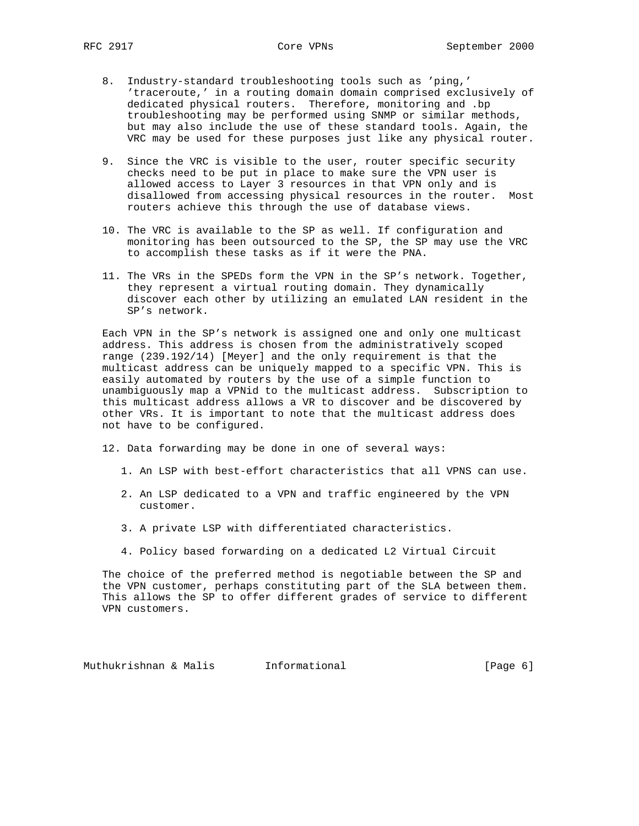- 8. Industry-standard troubleshooting tools such as 'ping,' 'traceroute,' in a routing domain domain comprised exclusively of dedicated physical routers. Therefore, monitoring and .bp troubleshooting may be performed using SNMP or similar methods, but may also include the use of these standard tools. Again, the VRC may be used for these purposes just like any physical router.
- 9. Since the VRC is visible to the user, router specific security checks need to be put in place to make sure the VPN user is allowed access to Layer 3 resources in that VPN only and is disallowed from accessing physical resources in the router. Most routers achieve this through the use of database views.
- 10. The VRC is available to the SP as well. If configuration and monitoring has been outsourced to the SP, the SP may use the VRC to accomplish these tasks as if it were the PNA.
- 11. The VRs in the SPEDs form the VPN in the SP's network. Together, they represent a virtual routing domain. They dynamically discover each other by utilizing an emulated LAN resident in the SP's network.

 Each VPN in the SP's network is assigned one and only one multicast address. This address is chosen from the administratively scoped range (239.192/14) [Meyer] and the only requirement is that the multicast address can be uniquely mapped to a specific VPN. This is easily automated by routers by the use of a simple function to unambiguously map a VPNid to the multicast address. Subscription to this multicast address allows a VR to discover and be discovered by other VRs. It is important to note that the multicast address does not have to be configured.

12. Data forwarding may be done in one of several ways:

- 1. An LSP with best-effort characteristics that all VPNS can use.
- 2. An LSP dedicated to a VPN and traffic engineered by the VPN customer.
- 3. A private LSP with differentiated characteristics.
- 4. Policy based forwarding on a dedicated L2 Virtual Circuit

 The choice of the preferred method is negotiable between the SP and the VPN customer, perhaps constituting part of the SLA between them. This allows the SP to offer different grades of service to different VPN customers.

Muthukrishnan & Malis informational informational [Page 6]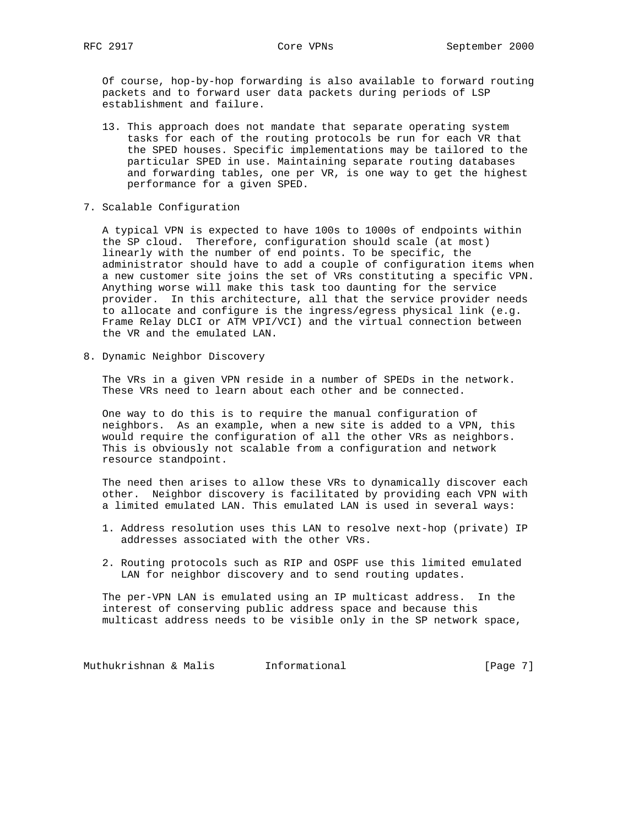Of course, hop-by-hop forwarding is also available to forward routing packets and to forward user data packets during periods of LSP establishment and failure.

- 13. This approach does not mandate that separate operating system tasks for each of the routing protocols be run for each VR that the SPED houses. Specific implementations may be tailored to the particular SPED in use. Maintaining separate routing databases and forwarding tables, one per VR, is one way to get the highest performance for a given SPED.
- 7. Scalable Configuration

 A typical VPN is expected to have 100s to 1000s of endpoints within the SP cloud. Therefore, configuration should scale (at most) linearly with the number of end points. To be specific, the administrator should have to add a couple of configuration items when a new customer site joins the set of VRs constituting a specific VPN. Anything worse will make this task too daunting for the service provider. In this architecture, all that the service provider needs to allocate and configure is the ingress/egress physical link (e.g. Frame Relay DLCI or ATM VPI/VCI) and the virtual connection between the VR and the emulated LAN.

8. Dynamic Neighbor Discovery

 The VRs in a given VPN reside in a number of SPEDs in the network. These VRs need to learn about each other and be connected.

 One way to do this is to require the manual configuration of neighbors. As an example, when a new site is added to a VPN, this would require the configuration of all the other VRs as neighbors. This is obviously not scalable from a configuration and network resource standpoint.

 The need then arises to allow these VRs to dynamically discover each other. Neighbor discovery is facilitated by providing each VPN with a limited emulated LAN. This emulated LAN is used in several ways:

- 1. Address resolution uses this LAN to resolve next-hop (private) IP addresses associated with the other VRs.
- 2. Routing protocols such as RIP and OSPF use this limited emulated LAN for neighbor discovery and to send routing updates.

 The per-VPN LAN is emulated using an IP multicast address. In the interest of conserving public address space and because this multicast address needs to be visible only in the SP network space,

Muthukrishnan & Malis **Informational Informational** [Page 7]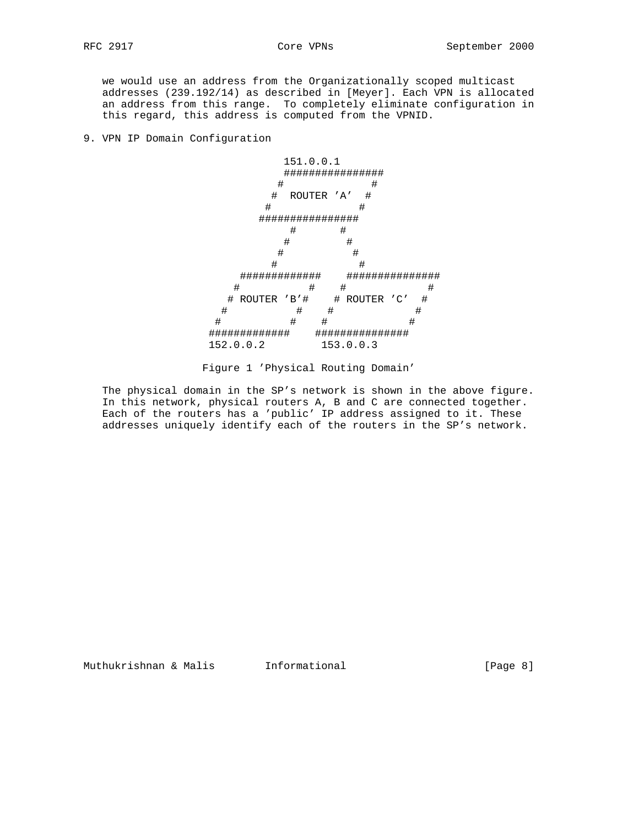we would use an address from the Organizationally scoped multicast addresses (239.192/14) as described in [Meyer]. Each VPN is allocated an address from this range. To completely eliminate configuration in this regard, this address is computed from the VPNID.

9. VPN IP Domain Configuration



Figure 1 'Physical Routing Domain'

 The physical domain in the SP's network is shown in the above figure. In this network, physical routers A, B and C are connected together. Each of the routers has a 'public' IP address assigned to it. These addresses uniquely identify each of the routers in the SP's network.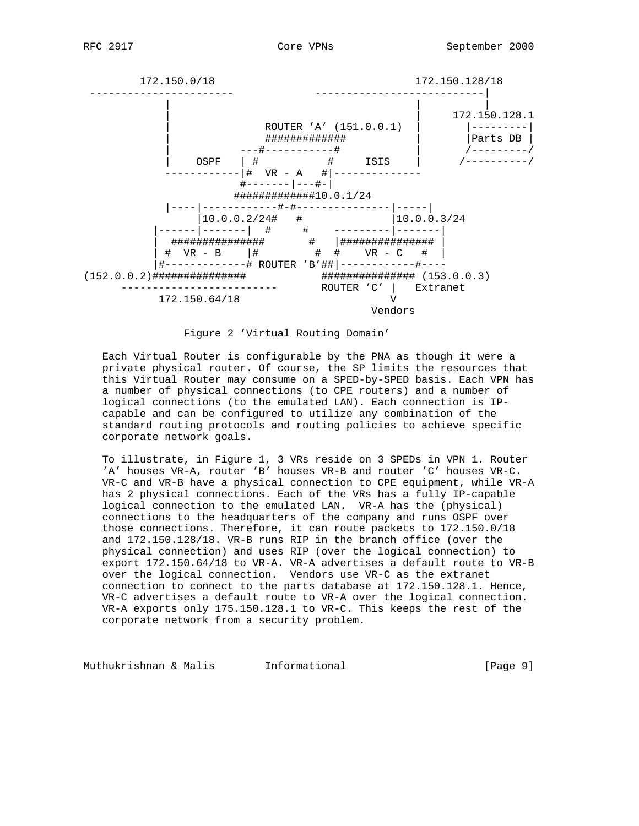

Figure 2 'Virtual Routing Domain'

 Each Virtual Router is configurable by the PNA as though it were a private physical router. Of course, the SP limits the resources that this Virtual Router may consume on a SPED-by-SPED basis. Each VPN has a number of physical connections (to CPE routers) and a number of logical connections (to the emulated LAN). Each connection is IP capable and can be configured to utilize any combination of the standard routing protocols and routing policies to achieve specific corporate network goals.

 To illustrate, in Figure 1, 3 VRs reside on 3 SPEDs in VPN 1. Router 'A' houses VR-A, router 'B' houses VR-B and router 'C' houses VR-C. VR-C and VR-B have a physical connection to CPE equipment, while VR-A has 2 physical connections. Each of the VRs has a fully IP-capable logical connection to the emulated LAN. VR-A has the (physical) connections to the headquarters of the company and runs OSPF over those connections. Therefore, it can route packets to 172.150.0/18 and 172.150.128/18. VR-B runs RIP in the branch office (over the physical connection) and uses RIP (over the logical connection) to export 172.150.64/18 to VR-A. VR-A advertises a default route to VR-B over the logical connection. Vendors use VR-C as the extranet connection to connect to the parts database at 172.150.128.1. Hence, VR-C advertises a default route to VR-A over the logical connection. VR-A exports only 175.150.128.1 to VR-C. This keeps the rest of the corporate network from a security problem.

Muthukrishnan & Malis informational informational [Page 9]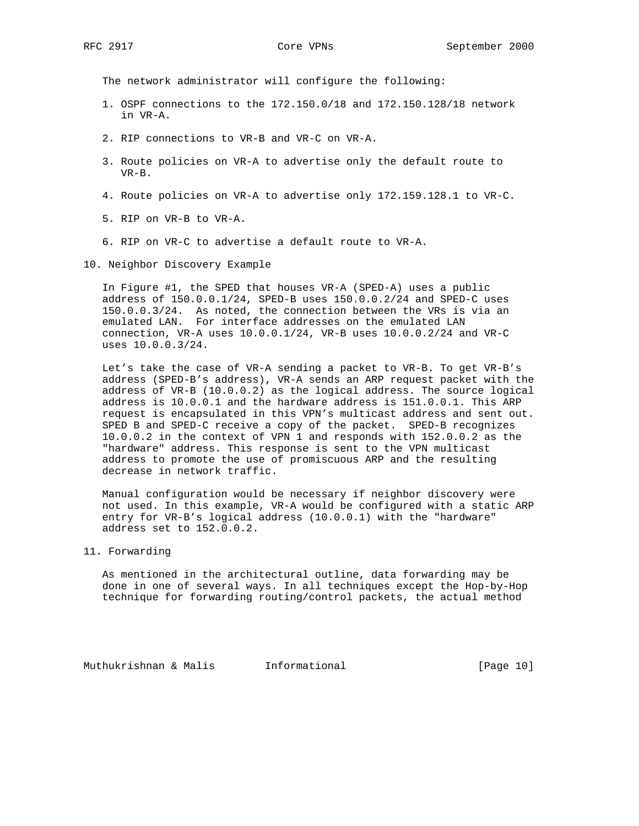The network administrator will configure the following:

- 1. OSPF connections to the 172.150.0/18 and 172.150.128/18 network in VR-A.
- 2. RIP connections to VR-B and VR-C on VR-A.
- 3. Route policies on VR-A to advertise only the default route to VR-B.
- 4. Route policies on VR-A to advertise only 172.159.128.1 to VR-C.
- 5. RIP on VR-B to VR-A.
- 6. RIP on VR-C to advertise a default route to VR-A.

10. Neighbor Discovery Example

 In Figure #1, the SPED that houses VR-A (SPED-A) uses a public address of 150.0.0.1/24, SPED-B uses 150.0.0.2/24 and SPED-C uses 150.0.0.3/24. As noted, the connection between the VRs is via an emulated LAN. For interface addresses on the emulated LAN connection, VR-A uses 10.0.0.1/24, VR-B uses 10.0.0.2/24 and VR-C uses 10.0.0.3/24.

 Let's take the case of VR-A sending a packet to VR-B. To get VR-B's address (SPED-B's address), VR-A sends an ARP request packet with the address of VR-B (10.0.0.2) as the logical address. The source logical address is 10.0.0.1 and the hardware address is 151.0.0.1. This ARP request is encapsulated in this VPN's multicast address and sent out. SPED B and SPED-C receive a copy of the packet. SPED-B recognizes 10.0.0.2 in the context of VPN 1 and responds with 152.0.0.2 as the "hardware" address. This response is sent to the VPN multicast address to promote the use of promiscuous ARP and the resulting decrease in network traffic.

 Manual configuration would be necessary if neighbor discovery were not used. In this example, VR-A would be configured with a static ARP entry for VR-B's logical address (10.0.0.1) with the "hardware" address set to 152.0.0.2.

11. Forwarding

 As mentioned in the architectural outline, data forwarding may be done in one of several ways. In all techniques except the Hop-by-Hop technique for forwarding routing/control packets, the actual method

Muthukrishnan & Malis Informational [Page 10]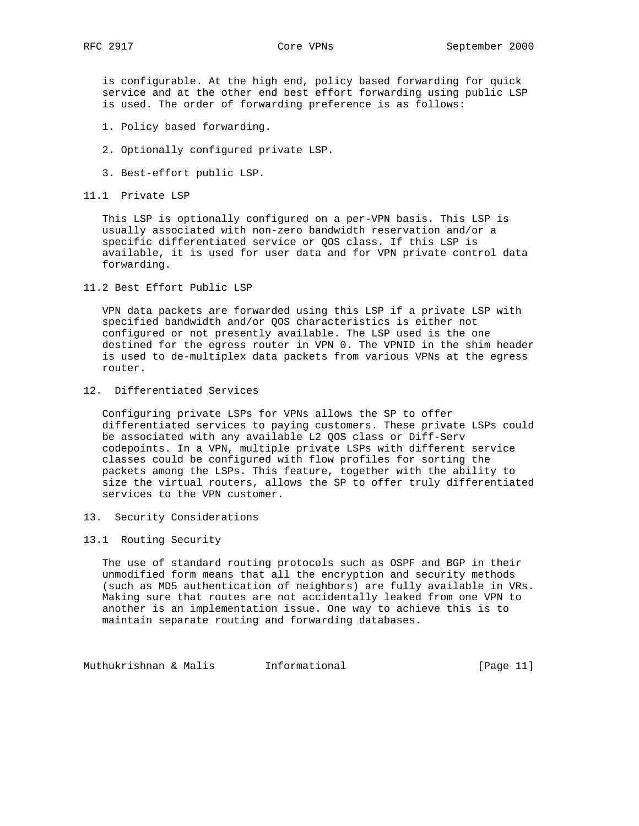is configurable. At the high end, policy based forwarding for quick service and at the other end best effort forwarding using public LSP is used. The order of forwarding preference is as follows:

- 1. Policy based forwarding.
- 2. Optionally configured private LSP.
- 3. Best-effort public LSP.
- 11.1 Private LSP

 This LSP is optionally configured on a per-VPN basis. This LSP is usually associated with non-zero bandwidth reservation and/or a specific differentiated service or QOS class. If this LSP is available, it is used for user data and for VPN private control data forwarding.

11.2 Best Effort Public LSP

 VPN data packets are forwarded using this LSP if a private LSP with specified bandwidth and/or QOS characteristics is either not configured or not presently available. The LSP used is the one destined for the egress router in VPN 0. The VPNID in the shim header is used to de-multiplex data packets from various VPNs at the egress router.

12. Differentiated Services

 Configuring private LSPs for VPNs allows the SP to offer differentiated services to paying customers. These private LSPs could be associated with any available L2 QOS class or Diff-Serv codepoints. In a VPN, multiple private LSPs with different service classes could be configured with flow profiles for sorting the packets among the LSPs. This feature, together with the ability to size the virtual routers, allows the SP to offer truly differentiated services to the VPN customer.

- 13. Security Considerations
- 13.1 Routing Security

 The use of standard routing protocols such as OSPF and BGP in their unmodified form means that all the encryption and security methods (such as MD5 authentication of neighbors) are fully available in VRs. Making sure that routes are not accidentally leaked from one VPN to another is an implementation issue. One way to achieve this is to maintain separate routing and forwarding databases.

Muthukrishnan & Malis **Informational Informational** [Page 11]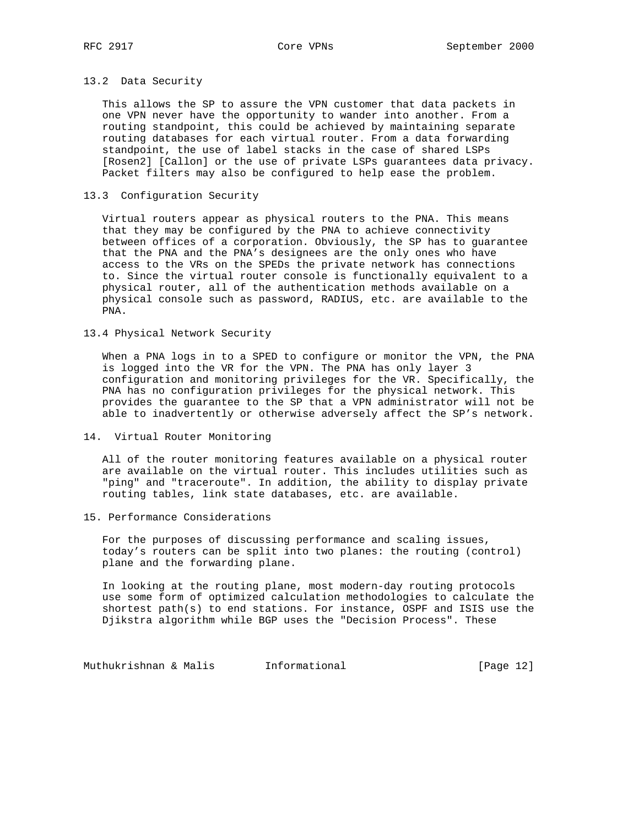# 13.2 Data Security

 This allows the SP to assure the VPN customer that data packets in one VPN never have the opportunity to wander into another. From a routing standpoint, this could be achieved by maintaining separate routing databases for each virtual router. From a data forwarding standpoint, the use of label stacks in the case of shared LSPs [Rosen2] [Callon] or the use of private LSPs guarantees data privacy. Packet filters may also be configured to help ease the problem.

# 13.3 Configuration Security

 Virtual routers appear as physical routers to the PNA. This means that they may be configured by the PNA to achieve connectivity between offices of a corporation. Obviously, the SP has to guarantee that the PNA and the PNA's designees are the only ones who have access to the VRs on the SPEDs the private network has connections to. Since the virtual router console is functionally equivalent to a physical router, all of the authentication methods available on a physical console such as password, RADIUS, etc. are available to the PNA.

### 13.4 Physical Network Security

 When a PNA logs in to a SPED to configure or monitor the VPN, the PNA is logged into the VR for the VPN. The PNA has only layer 3 configuration and monitoring privileges for the VR. Specifically, the PNA has no configuration privileges for the physical network. This provides the guarantee to the SP that a VPN administrator will not be able to inadvertently or otherwise adversely affect the SP's network.

14. Virtual Router Monitoring

 All of the router monitoring features available on a physical router are available on the virtual router. This includes utilities such as "ping" and "traceroute". In addition, the ability to display private routing tables, link state databases, etc. are available.

15. Performance Considerations

 For the purposes of discussing performance and scaling issues, today's routers can be split into two planes: the routing (control) plane and the forwarding plane.

 In looking at the routing plane, most modern-day routing protocols use some form of optimized calculation methodologies to calculate the shortest path(s) to end stations. For instance, OSPF and ISIS use the Djikstra algorithm while BGP uses the "Decision Process". These

Muthukrishnan & Malis **Informational Informational** [Page 12]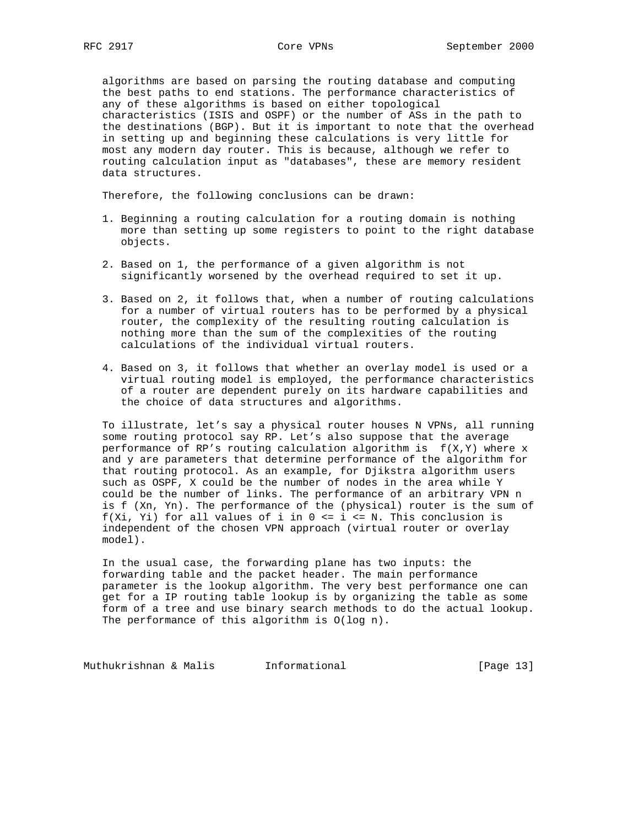algorithms are based on parsing the routing database and computing the best paths to end stations. The performance characteristics of any of these algorithms is based on either topological characteristics (ISIS and OSPF) or the number of ASs in the path to the destinations (BGP). But it is important to note that the overhead in setting up and beginning these calculations is very little for most any modern day router. This is because, although we refer to routing calculation input as "databases", these are memory resident data structures.

Therefore, the following conclusions can be drawn:

- 1. Beginning a routing calculation for a routing domain is nothing more than setting up some registers to point to the right database objects.
- 2. Based on 1, the performance of a given algorithm is not significantly worsened by the overhead required to set it up.
- 3. Based on 2, it follows that, when a number of routing calculations for a number of virtual routers has to be performed by a physical router, the complexity of the resulting routing calculation is nothing more than the sum of the complexities of the routing calculations of the individual virtual routers.
- 4. Based on 3, it follows that whether an overlay model is used or a virtual routing model is employed, the performance characteristics of a router are dependent purely on its hardware capabilities and the choice of data structures and algorithms.

 To illustrate, let's say a physical router houses N VPNs, all running some routing protocol say RP. Let's also suppose that the average performance of RP's routing calculation algorithm is  $f(X,Y)$  where x and y are parameters that determine performance of the algorithm for that routing protocol. As an example, for Djikstra algorithm users such as OSPF, X could be the number of nodes in the area while Y could be the number of links. The performance of an arbitrary VPN n is f (Xn, Yn). The performance of the (physical) router is the sum of f(Xi, Yi) for all values of i in  $0 \le i \le N$ . This conclusion is independent of the chosen VPN approach (virtual router or overlay model).

 In the usual case, the forwarding plane has two inputs: the forwarding table and the packet header. The main performance parameter is the lookup algorithm. The very best performance one can get for a IP routing table lookup is by organizing the table as some form of a tree and use binary search methods to do the actual lookup. The performance of this algorithm is  $O(log n)$ .

Muthukrishnan & Malis **Informational Informational** [Page 13]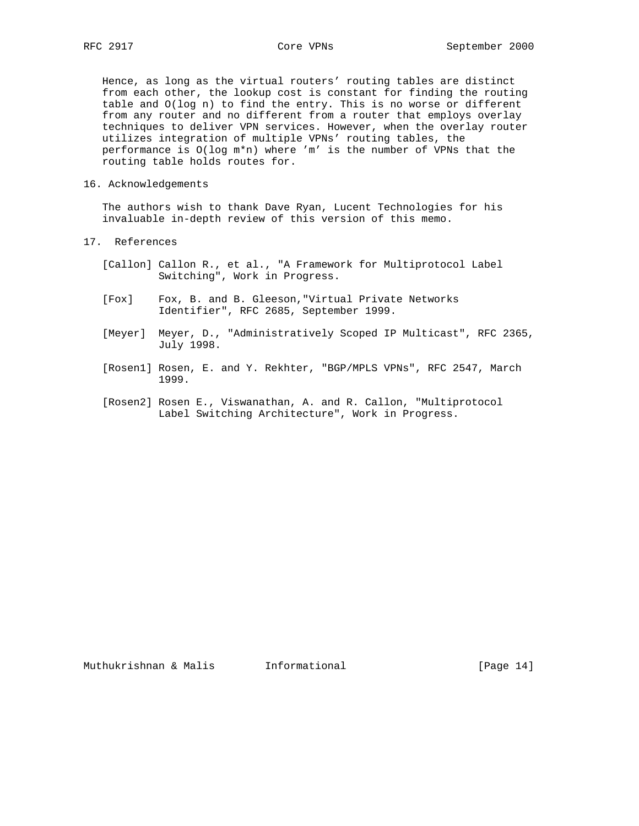Hence, as long as the virtual routers' routing tables are distinct from each other, the lookup cost is constant for finding the routing table and O(log n) to find the entry. This is no worse or different from any router and no different from a router that employs overlay techniques to deliver VPN services. However, when the overlay router utilizes integration of multiple VPNs' routing tables, the performance is O(log m\*n) where 'm' is the number of VPNs that the routing table holds routes for.

#### 16. Acknowledgements

 The authors wish to thank Dave Ryan, Lucent Technologies for his invaluable in-depth review of this version of this memo.

- 17. References
	- [Callon] Callon R., et al., "A Framework for Multiprotocol Label Switching", Work in Progress.
	- [Fox] Fox, B. and B. Gleeson,"Virtual Private Networks Identifier", RFC 2685, September 1999.
	- [Meyer] Meyer, D., "Administratively Scoped IP Multicast", RFC 2365, July 1998.
	- [Rosen1] Rosen, E. and Y. Rekhter, "BGP/MPLS VPNs", RFC 2547, March 1999.
	- [Rosen2] Rosen E., Viswanathan, A. and R. Callon, "Multiprotocol Label Switching Architecture", Work in Progress.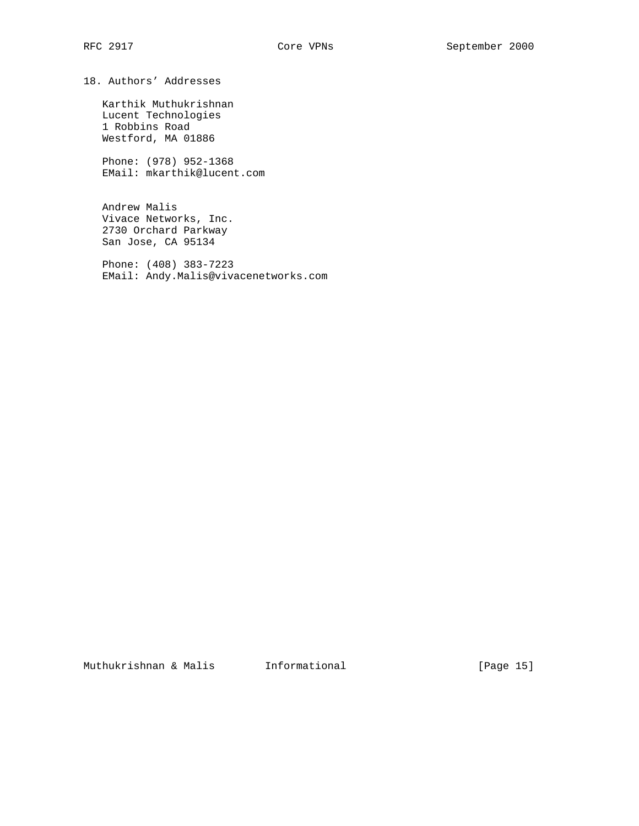18. Authors' Addresses

 Karthik Muthukrishnan Lucent Technologies 1 Robbins Road Westford, MA 01886

 Phone: (978) 952-1368 EMail: mkarthik@lucent.com

 Andrew Malis Vivace Networks, Inc. 2730 Orchard Parkway San Jose, CA 95134

 Phone: (408) 383-7223 EMail: Andy.Malis@vivacenetworks.com